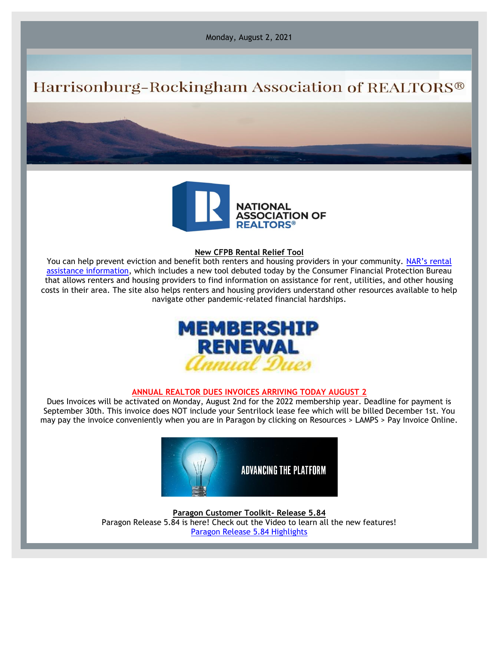Monday, August 2, 2021

# Harrisonburg-Rockingham Association of REALTORS®



#### **New CFPB Rental Relief Tool**

You can help prevent eviction and benefit both renters and housing providers in your community. [NAR's rental](http://email.nar.realtor/c/11cNG3j2kU5gLfs9gQGebe6tAf) [assistance information,](http://email.nar.realtor/c/11cNG3j2kU5gLfs9gQGebe6tAf) which includes a new tool debuted today by the Consumer Financial Protection Bureau that allows renters and housing providers to find information on assistance for rent, utilities, and other housing costs in their area. The site also helps renters and housing providers understand other resources available to help navigate other pandemic-related financial hardships.



#### **ANNUAL REALTOR DUES INVOICES ARRIVING TODAY AUGUST 2**

Dues Invoices will be activated on Monday, August 2nd for the 2022 membership year. Deadline for payment is September 30th. This invoice does NOT include your Sentrilock lease fee which will be billed December 1st. You may pay the invoice conveniently when you are in Paragon by clicking on Resources > LAMPS > Pay Invoice Online.



**Paragon Customer Toolkit- Release 5.84** Paragon Release 5.84 is here! Check out the Video to learn all the new features! [Paragon Release](https://player.vimeo.com/video/568910521?app_id=122963) 5.84 Highlights